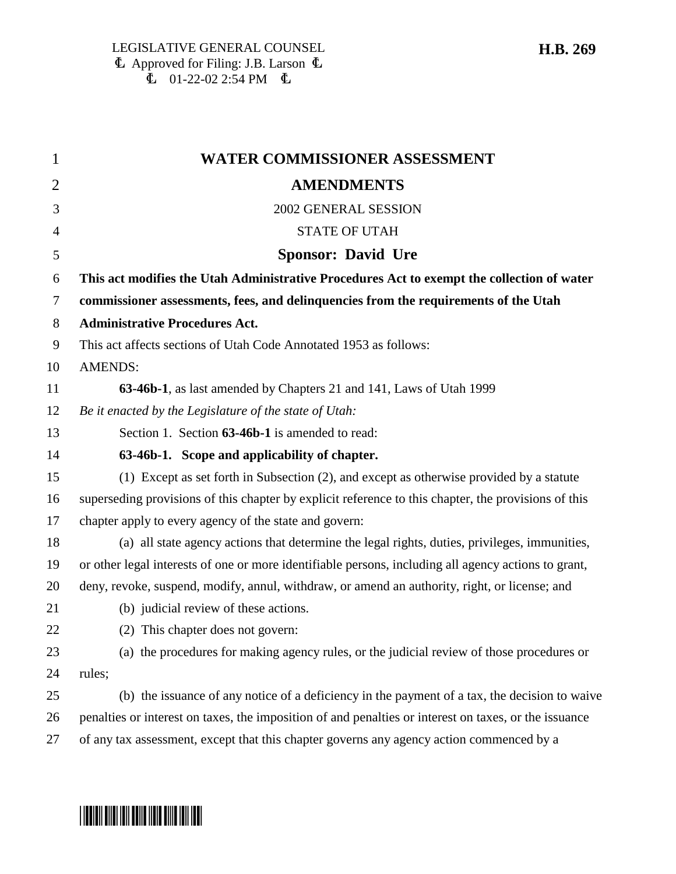| $\mathbf{1}$   | WATER COMMISSIONER ASSESSMENT                                                                         |
|----------------|-------------------------------------------------------------------------------------------------------|
| $\overline{2}$ | <b>AMENDMENTS</b>                                                                                     |
| 3              | 2002 GENERAL SESSION                                                                                  |
| 4              | <b>STATE OF UTAH</b>                                                                                  |
| 5              | <b>Sponsor: David Ure</b>                                                                             |
| 6              | This act modifies the Utah Administrative Procedures Act to exempt the collection of water            |
| 7              | commissioner assessments, fees, and delinquencies from the requirements of the Utah                   |
| 8              | <b>Administrative Procedures Act.</b>                                                                 |
| 9              | This act affects sections of Utah Code Annotated 1953 as follows:                                     |
| 10             | <b>AMENDS:</b>                                                                                        |
| 11             | 63-46b-1, as last amended by Chapters 21 and 141, Laws of Utah 1999                                   |
| 12             | Be it enacted by the Legislature of the state of Utah:                                                |
| 13             | Section 1. Section 63-46b-1 is amended to read:                                                       |
| 14             | 63-46b-1. Scope and applicability of chapter.                                                         |
| 15             | (1) Except as set forth in Subsection (2), and except as otherwise provided by a statute              |
| 16             | superseding provisions of this chapter by explicit reference to this chapter, the provisions of this  |
| 17             | chapter apply to every agency of the state and govern:                                                |
| 18             | (a) all state agency actions that determine the legal rights, duties, privileges, immunities,         |
| 19             | or other legal interests of one or more identifiable persons, including all agency actions to grant,  |
| 20             | deny, revoke, suspend, modify, annul, withdraw, or amend an authority, right, or license; and         |
| 21             | (b) judicial review of these actions.                                                                 |
| 22             | (2) This chapter does not govern:                                                                     |
| 23             | (a) the procedures for making agency rules, or the judicial review of those procedures or             |
| 24             | rules;                                                                                                |
| 25             | (b) the issuance of any notice of a deficiency in the payment of a tax, the decision to waive         |
| 26             | penalties or interest on taxes, the imposition of and penalties or interest on taxes, or the issuance |
| 27             | of any tax assessment, except that this chapter governs any agency action commenced by a              |
|                |                                                                                                       |

### **H.B. 269**

# \*HB0269\*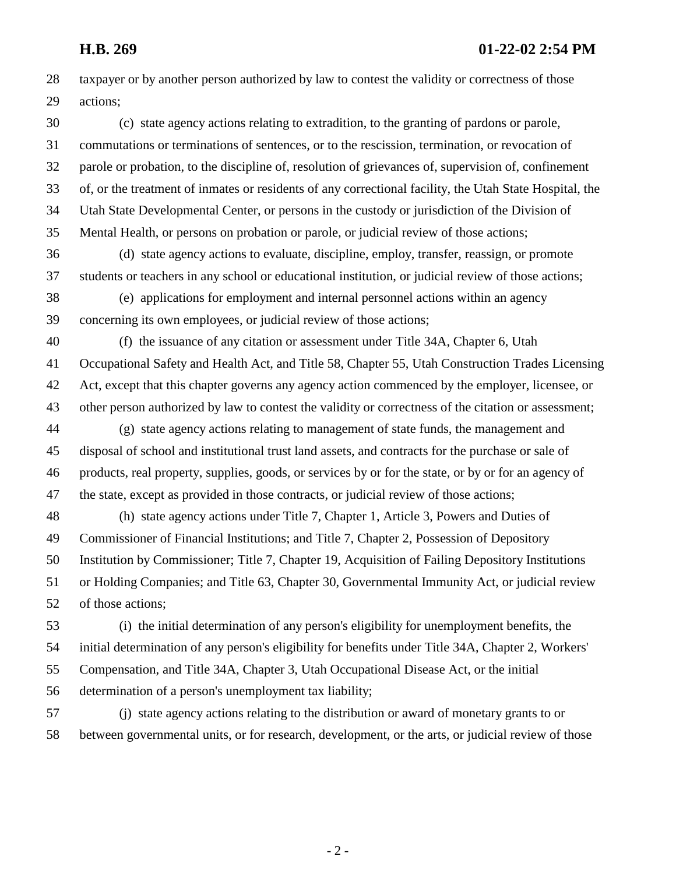28 taxpayer or by another person authorized by law to contest the validity or correctness of those 29 actions; 30 (c) state agency actions relating to extradition, to the granting of pardons or parole, 31 commutations or terminations of sentences, or to the rescission, termination, or revocation of 32 parole or probation, to the discipline of, resolution of grievances of, supervision of, confinement 33 of, or the treatment of inmates or residents of any correctional facility, the Utah State Hospital, the 34 Utah State Developmental Center, or persons in the custody or jurisdiction of the Division of 35 Mental Health, or persons on probation or parole, or judicial review of those actions; 36 (d) state agency actions to evaluate, discipline, employ, transfer, reassign, or promote 37 students or teachers in any school or educational institution, or judicial review of those actions; 38 (e) applications for employment and internal personnel actions within an agency 39 concerning its own employees, or judicial review of those actions; 40 (f) the issuance of any citation or assessment under Title 34A, Chapter 6, Utah 41 Occupational Safety and Health Act, and Title 58, Chapter 55, Utah Construction Trades Licensing 42 Act, except that this chapter governs any agency action commenced by the employer, licensee, or 43 other person authorized by law to contest the validity or correctness of the citation or assessment; 44 (g) state agency actions relating to management of state funds, the management and 45 disposal of school and institutional trust land assets, and contracts for the purchase or sale of 46 products, real property, supplies, goods, or services by or for the state, or by or for an agency of 47 the state, except as provided in those contracts, or judicial review of those actions; 48 (h) state agency actions under Title 7, Chapter 1, Article 3, Powers and Duties of 49 Commissioner of Financial Institutions; and Title 7, Chapter 2, Possession of Depository 50 Institution by Commissioner; Title 7, Chapter 19, Acquisition of Failing Depository Institutions 51 or Holding Companies; and Title 63, Chapter 30, Governmental Immunity Act, or judicial review

52 of those actions;

53 (i) the initial determination of any person's eligibility for unemployment benefits, the 54 initial determination of any person's eligibility for benefits under Title 34A, Chapter 2, Workers' 55 Compensation, and Title 34A, Chapter 3, Utah Occupational Disease Act, or the initial 56 determination of a person's unemployment tax liability;

57 (j) state agency actions relating to the distribution or award of monetary grants to or 58 between governmental units, or for research, development, or the arts, or judicial review of those

- 2 -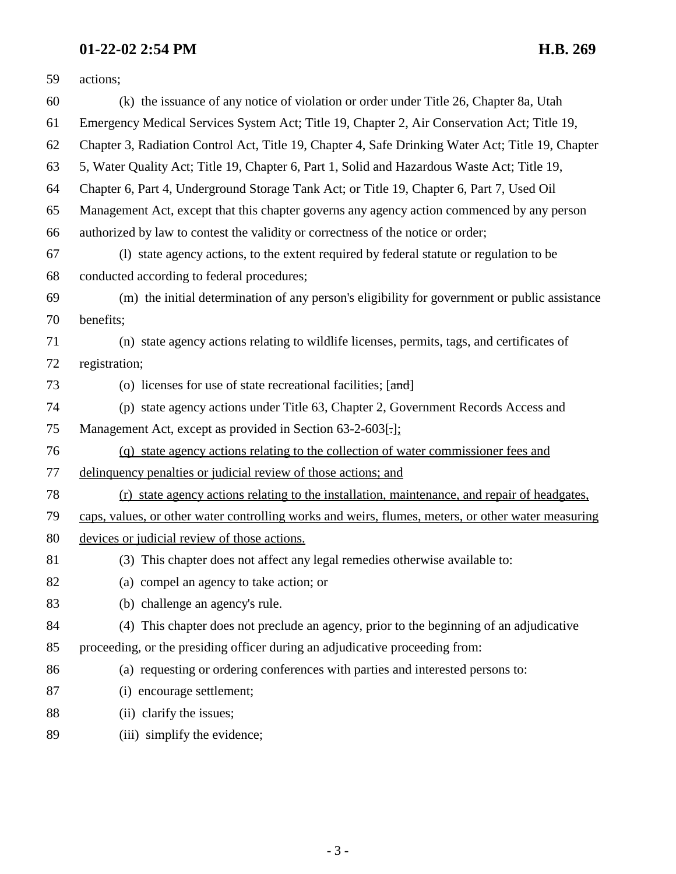# **01-22-02 2:54 PM H.B. 269**

| 59 | actions;                                                                                           |
|----|----------------------------------------------------------------------------------------------------|
| 60 | (k) the issuance of any notice of violation or order under Title 26, Chapter 8a, Utah              |
| 61 | Emergency Medical Services System Act; Title 19, Chapter 2, Air Conservation Act; Title 19,        |
| 62 | Chapter 3, Radiation Control Act, Title 19, Chapter 4, Safe Drinking Water Act; Title 19, Chapter  |
| 63 | 5, Water Quality Act; Title 19, Chapter 6, Part 1, Solid and Hazardous Waste Act; Title 19,        |
| 64 | Chapter 6, Part 4, Underground Storage Tank Act; or Title 19, Chapter 6, Part 7, Used Oil          |
| 65 | Management Act, except that this chapter governs any agency action commenced by any person         |
| 66 | authorized by law to contest the validity or correctness of the notice or order;                   |
| 67 | (1) state agency actions, to the extent required by federal statute or regulation to be            |
| 68 | conducted according to federal procedures;                                                         |
| 69 | (m) the initial determination of any person's eligibility for government or public assistance      |
| 70 | benefits;                                                                                          |
| 71 | (n) state agency actions relating to wildlife licenses, permits, tags, and certificates of         |
| 72 | registration;                                                                                      |
| 73 | (o) licenses for use of state recreational facilities; $[\text{and}]$                              |
| 74 | (p) state agency actions under Title 63, Chapter 2, Government Records Access and                  |
| 75 | Management Act, except as provided in Section 63-2-603[.];                                         |
| 76 | (q) state agency actions relating to the collection of water commissioner fees and                 |
| 77 | delinquency penalties or judicial review of those actions; and                                     |
| 78 | (r) state agency actions relating to the installation, maintenance, and repair of headgates,       |
| 79 | caps, values, or other water controlling works and weirs, flumes, meters, or other water measuring |
| 80 | devices or judicial review of those actions.                                                       |
| 81 | (3) This chapter does not affect any legal remedies otherwise available to:                        |
| 82 | (a) compel an agency to take action; or                                                            |
| 83 | (b) challenge an agency's rule.                                                                    |
| 84 | (4) This chapter does not preclude an agency, prior to the beginning of an adjudicative            |
| 85 | proceeding, or the presiding officer during an adjudicative proceeding from:                       |
| 86 | (a) requesting or ordering conferences with parties and interested persons to:                     |
| 87 | (i) encourage settlement;                                                                          |
| 88 | (ii) clarify the issues;                                                                           |
| 89 | (iii) simplify the evidence;                                                                       |